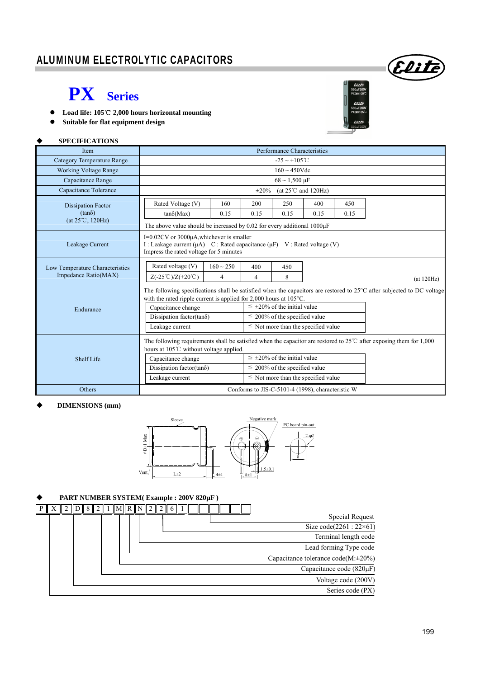### ALUMINUM ELECTROLYTIC CAPACITORS

## **PX Series**

- **Load life: 105**℃ **2,000 hours horizontal mounting**
- $\bullet$  Suitable for flat equipment design

#### **SPECIFICATIONS**

| Item                                                    | Performance Characteristics                                                                                                                                                                                                                                                                                                                                                                                      |                                                                                |            |                               |      |      |            |  |
|---------------------------------------------------------|------------------------------------------------------------------------------------------------------------------------------------------------------------------------------------------------------------------------------------------------------------------------------------------------------------------------------------------------------------------------------------------------------------------|--------------------------------------------------------------------------------|------------|-------------------------------|------|------|------------|--|
| <b>Category Temperature Range</b>                       | $-25 \sim +105^{\circ}$ C                                                                                                                                                                                                                                                                                                                                                                                        |                                                                                |            |                               |      |      |            |  |
| <b>Working Voltage Range</b>                            |                                                                                                                                                                                                                                                                                                                                                                                                                  |                                                                                |            | $160 \sim 450$ Vdc            |      |      |            |  |
| Capacitance Range                                       |                                                                                                                                                                                                                                                                                                                                                                                                                  |                                                                                |            | $68 \sim 1,500 \,\mu F$       |      |      |            |  |
| Capacitance Tolerance                                   |                                                                                                                                                                                                                                                                                                                                                                                                                  |                                                                                | $\pm 20\%$ | (at $25^{\circ}$ C and 120Hz) |      |      |            |  |
| <b>Dissipation Factor</b>                               | Rated Voltage (V)                                                                                                                                                                                                                                                                                                                                                                                                | 160                                                                            | 200        | 250                           | 400  | 450  |            |  |
| $(tan\delta)$                                           | $tan\delta(Max)$                                                                                                                                                                                                                                                                                                                                                                                                 | 0.15                                                                           | 0.15       | 0.15                          | 0.15 | 0.15 |            |  |
| $(at 25^{\circ}C, 120Hz)$                               |                                                                                                                                                                                                                                                                                                                                                                                                                  | The above value should be increased by $0.02$ for every additional $1000\mu$ F |            |                               |      |      |            |  |
| Leakage Current                                         | I=0.02CV or 3000µA, whichever is smaller<br>I : Leakage current (µA) C : Rated capacitance (µF) V : Rated voltage (V)<br>Impress the rated voltage for 5 minutes                                                                                                                                                                                                                                                 |                                                                                |            |                               |      |      |            |  |
| Low Temperature Characteristics<br>Impedance Ratio(MAX) | Rated voltage (V)<br>$Z(-25^{\circ}\text{C})/Z(+20^{\circ}\text{C})$                                                                                                                                                                                                                                                                                                                                             | $160 \sim 250$<br>4                                                            | 400<br>4   | 450<br>8                      |      |      | (at 120Hz) |  |
| Endurance                                               | The following specifications shall be satisfied when the capacitors are restored to 25°C after subjected to DC voltage<br>with the rated ripple current is applied for $2,000$ hours at $105^{\circ}$ C.<br>$\leq \pm 20\%$ of the initial value<br>Capacitance change<br>Dissipation factor(tan $\delta$ )<br>$\leq$ 200% of the specified value<br>$\leq$ Not more than the specified value<br>Leakage current |                                                                                |            |                               |      |      |            |  |
| <b>Shelf Life</b>                                       | The following requirements shall be satisfied when the capacitor are restored to $25^{\circ}$ C after exposing them for 1,000<br>hours at 105°C without voltage applied.<br>$\leq \pm 20\%$ of the initial value<br>Capacitance change<br>Dissipation factor(tan $\delta$ )<br>$\leq$ 200% of the specified value<br>$\leq$ Not more than the specified value<br>Leakage current                                 |                                                                                |            |                               |      |      |            |  |
| <b>Others</b>                                           | Conforms to JIS-C-5101-4 (1998), characteristic W                                                                                                                                                                                                                                                                                                                                                                |                                                                                |            |                               |      |      |            |  |

#### **DIMENSIONS (mm)**



#### **PART NUMBER SYSTEM( Example : 200V 820µF )**



Elite